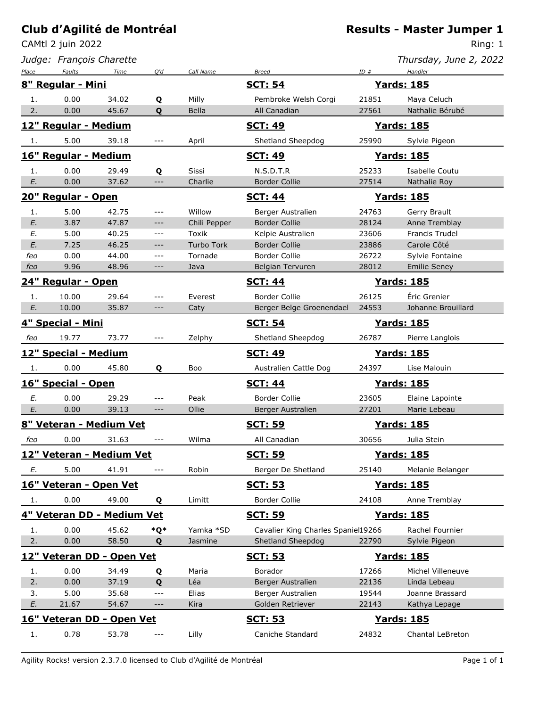CAMtl 2 juin 2022

*Judge: François Charette*

Ring: 1

*Thursday, June 2, 2022*

| Place | Faults                     | Time  | Q'd                 | Call Name         | <b>Breed</b>                       | ID#   | Handler               |
|-------|----------------------------|-------|---------------------|-------------------|------------------------------------|-------|-----------------------|
|       | 8" Regular - Mini          |       |                     |                   | <b>SCT: 54</b>                     |       | <b>Yards: 185</b>     |
| 1.    | 0.00                       | 34.02 | Q                   | Milly             | Pembroke Welsh Corgi               | 21851 | Maya Celuch           |
| 2.    | 0.00                       | 45.67 | Q                   | Bella             | All Canadian                       | 27561 | Nathalie Bérubé       |
|       | 12" Regular - Medium       |       |                     |                   | <b>SCT: 49</b>                     |       | <b>Yards: 185</b>     |
| 1.    | 5.00                       | 39.18 | ---                 | April             | Shetland Sheepdog                  | 25990 | Sylvie Pigeon         |
|       | 16" Regular - Medium       |       |                     |                   | <b>SCT: 49</b>                     |       | <b>Yards: 185</b>     |
| 1.    | 0.00                       | 29.49 | Q                   | Sissi             | N.S.D.T.R                          | 25233 | Isabelle Coutu        |
| E.    | 0.00                       | 37.62 | $---$               | Charlie           | <b>Border Collie</b>               | 27514 | Nathalie Roy          |
|       | 20" Regular - Open         |       |                     |                   | <b>SCT: 44</b>                     |       | <b>Yards: 185</b>     |
| 1.    | 5.00                       | 42.75 | $---$               | Willow            | Berger Australien                  | 24763 | Gerry Brault          |
| E.    | 3.87                       | 47.87 | $---$               | Chili Pepper      | <b>Border Collie</b>               | 28124 | Anne Tremblay         |
| E.    | 5.00                       | 40.25 | $---$               | Toxik             | Kelpie Australien                  | 23606 | <b>Francis Trudel</b> |
| E.    | 7.25                       | 46.25 | $---$               | <b>Turbo Tork</b> | <b>Border Collie</b>               | 23886 | Carole Côté           |
| feo   | 0.00                       | 44.00 | $---$               | Tornade           | <b>Border Collie</b>               | 26722 | Sylvie Fontaine       |
| feo   | 9.96                       | 48.96 | $---$               | Java              | Belgian Tervuren                   | 28012 | <b>Emilie Seney</b>   |
|       | 24" Regular - Open         |       |                     |                   | <b>SCT: 44</b>                     |       | <b>Yards: 185</b>     |
| 1.    | 10.00                      | 29.64 | $---$               | Everest           | <b>Border Collie</b>               | 26125 | Éric Grenier          |
| E.    | 10.00                      | 35.87 | $---$               | Caty              | Berger Belge Groenendael           | 24553 | Johanne Brouillard    |
|       | 4" Special - Mini          |       |                     |                   | <b>SCT: 54</b>                     |       | <b>Yards: 185</b>     |
| feo   | 19.77                      | 73.77 | $---$               | Zelphy            | Shetland Sheepdog                  | 26787 | Pierre Langlois       |
|       | 12" Special - Medium       |       |                     |                   | <b>SCT: 49</b>                     |       | <u>Yards: 185</u>     |
| 1.    | 0.00                       | 45.80 | Q                   | Boo               | Australien Cattle Dog              | 24397 | Lise Malouin          |
|       | 16" Special - Open         |       |                     |                   | <b>SCT: 44</b>                     |       | <b>Yards: 185</b>     |
| Ε.    | 0.00                       | 29.29 | $---$               | Peak              | <b>Border Collie</b>               | 23605 | Elaine Lapointe       |
| E.    | 0.00                       | 39.13 | $---$               | Ollie             | Berger Australien                  | 27201 | Marie Lebeau          |
|       | 8" Veteran - Medium Vet    |       |                     |                   | <u>SCT: 59</u>                     |       | <b>Yards: 185</b>     |
| feo   | 0.00                       | 31.63 | $---$               | Wilma             | All Canadian                       | 30656 | Julia Stein           |
|       | 12" Veteran - Medium Vet   |       |                     |                   | <u>SCT: 59</u>                     |       | <b>Yards: 185</b>     |
| E.    | 5.00                       | 41.91 |                     | Robin             | Berger De Shetland                 | 25140 | Melanie Belanger      |
|       | 16" Veteran - Open Vet     |       |                     |                   | <b>SCT: 53</b>                     |       | <b>Yards: 185</b>     |
| 1.    | 0.00                       | 49.00 | Q                   | Limitt            | <b>Border Collie</b>               | 24108 | Anne Tremblay         |
|       | 4" Veteran DD - Medium Vet |       |                     |                   | <u>SCT: 59</u>                     |       | <b>Yards: 185</b>     |
| 1.    | 0.00                       | 45.62 | *Q*                 | Yamka *SD         | Cavalier King Charles Spaniel19266 |       | Rachel Fournier       |
| 2.    | 0.00                       | 58.50 | Q                   | Jasmine           | Shetland Sheepdog                  | 22790 | Sylvie Pigeon         |
|       | 12" Veteran DD - Open Vet  |       |                     |                   | <u>SCT: 53</u>                     |       | <u>Yards: 185</u>     |
| 1.    | 0.00                       | 34.49 | Q                   | Maria             | Borador                            | 17266 | Michel Villeneuve     |
| 2.    | 0.00                       | 37.19 | Q                   | Léa               | Berger Australien                  | 22136 | Linda Lebeau          |
| 3.    | 5.00                       | 35.68 | ---                 | Elias             | Berger Australien                  | 19544 | Joanne Brassard       |
| E.    | 21.67                      | 54.67 | ---                 | Kira              | Golden Retriever                   | 22143 | Kathya Lepage         |
|       | 16" Veteran DD - Open Vet  |       |                     |                   | <b>SCT: 53</b>                     |       | <u>Yards: 185</u>     |
| 1.    | 0.78                       | 53.78 | $\qquad \qquad - -$ | Lilly             | Caniche Standard                   | 24832 | Chantal LeBreton      |

Agility Rocks! version 2.3.7.0 licensed to Club d'Agilité de Montréal entre la page 1 of 1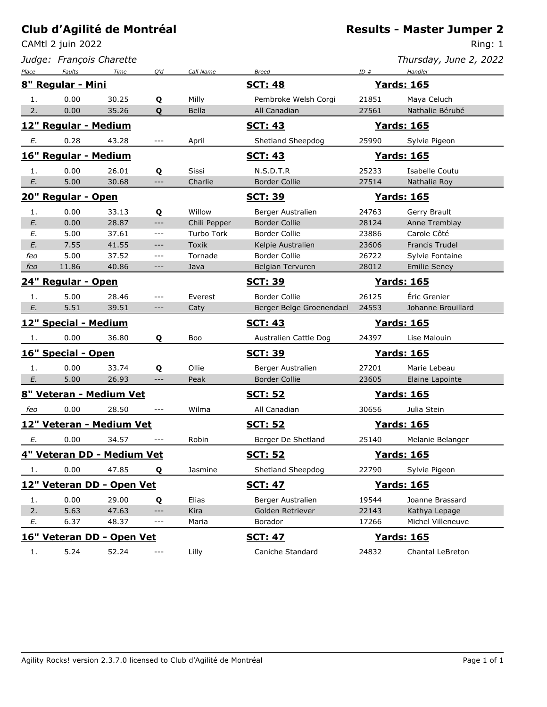CAMtl 2 juin 2022

*Judge: François Charette*

Ring: 1

*Thursday, June 2, 2022*

| Place                       | <b>Faults</b>              | Time  | Q'd   | Call Name    | <b>Breed</b>             | ID#               | Handler             |  |
|-----------------------------|----------------------------|-------|-------|--------------|--------------------------|-------------------|---------------------|--|
| 8" Regular - Mini           |                            |       |       |              | <b>SCT: 48</b>           | <b>Yards: 165</b> |                     |  |
| 1.                          | 0.00                       | 30.25 | Q     | Milly        | Pembroke Welsh Corgi     | 21851             | Maya Celuch         |  |
| 2.                          | 0.00                       | 35.26 | Q     | Bella        | All Canadian             | 27561             | Nathalie Bérubé     |  |
|                             | 12" Regular - Medium       |       |       |              | <u>SCT: 43</u>           |                   | <b>Yards: 165</b>   |  |
| E.                          | 0.28                       | 43.28 | ---   | April        | Shetland Sheepdog        | 25990             | Sylvie Pigeon       |  |
|                             | 16" Regular - Medium       |       |       |              | <b>SCT: 43</b>           |                   | <b>Yards: 165</b>   |  |
| 1.                          | 0.00                       | 26.01 | Q     | Sissi        | N.S.D.T.R                | 25233             | Isabelle Coutu      |  |
| E.                          | 5.00                       | 30.68 | $---$ | Charlie      | <b>Border Collie</b>     | 27514             | Nathalie Roy        |  |
|                             | 20" Regular - Open         |       |       |              | <u>SCT: 39</u>           |                   | <b>Yards: 165</b>   |  |
| 1.                          | 0.00                       | 33.13 | Q     | Willow       | Berger Australien        | 24763             | Gerry Brault        |  |
| E.                          | 0.00                       | 28.87 | ---   | Chili Pepper | <b>Border Collie</b>     | 28124             | Anne Tremblay       |  |
| Е.                          | 5.00                       | 37.61 | ---   | Turbo Tork   | Border Collie            | 23886             | Carole Côté         |  |
| E.                          | 7.55                       | 41.55 | $---$ | <b>Toxik</b> | Kelpie Australien        | 23606             | Francis Trudel      |  |
| feo                         | 5.00                       | 37.52 | ---   | Tornade      | Border Collie            | 26722             | Sylvie Fontaine     |  |
| feo                         | 11.86                      | 40.86 | ---   | Java         | Belgian Tervuren         | 28012             | <b>Emilie Seney</b> |  |
|                             | 24" Regular - Open         |       |       |              | <u>SCT: 39</u>           |                   | <b>Yards: 165</b>   |  |
| 1.                          | 5.00                       | 28.46 | $---$ | Everest      | <b>Border Collie</b>     | 26125             | Éric Grenier        |  |
| E.                          | 5.51                       | 39.51 | $---$ | Caty         | Berger Belge Groenendael | 24553             | Johanne Brouillard  |  |
| <b>12" Special - Medium</b> |                            |       |       |              | <b>SCT: 43</b>           | <b>Yards: 165</b> |                     |  |
| 1.                          | 0.00                       | 36.80 | Q     | Boo          | Australien Cattle Dog    | 24397             | Lise Malouin        |  |
|                             | 16" Special - Open         |       |       |              | <b>SCT: 39</b>           |                   | <b>Yards: 165</b>   |  |
| 1.                          | 0.00                       | 33.74 | Q     | Ollie        | Berger Australien        | 27201             | Marie Lebeau        |  |
| E.                          | 5.00                       | 26.93 | ---   | Peak         | <b>Border Collie</b>     | 23605             | Elaine Lapointe     |  |
|                             | 8" Veteran - Medium Vet    |       |       |              | <u>SCT: 52</u>           |                   | <u>Yards: 165</u>   |  |
| feo                         | 0.00                       | 28.50 | $---$ | Wilma        | All Canadian             | 30656             | Julia Stein         |  |
|                             | 12" Veteran - Medium Vet   |       |       |              | <b>SCT: 52</b>           |                   | <b>Yards: 165</b>   |  |
| Е.                          | 0.00                       | 34.57 |       | Robin        | Berger De Shetland       | 25140             | Melanie Belanger    |  |
|                             | 4" Veteran DD - Medium Vet |       |       |              | <u>SCT: 52</u>           |                   | <b>Yards: 165</b>   |  |
| 1.                          | 0.00                       | 47.85 | Q     | Jasmine      | Shetland Sheepdog        | 22790             | Sylvie Pigeon       |  |
| 12" Veteran DD - Open Vet   |                            |       |       |              | <u>SCT: 47</u>           | <b>Yards: 165</b> |                     |  |
| 1.                          | 0.00                       | 29.00 | Q     | Elias        | Berger Australien        | 19544             | Joanne Brassard     |  |
| 2.                          | 5.63                       | 47.63 | $---$ | Kira         | Golden Retriever         | 22143             | Kathya Lepage       |  |
| E.                          | 6.37                       | 48.37 | ---   | Maria        | Borador                  | 17266             | Michel Villeneuve   |  |
| 16" Veteran DD - Open Vet   |                            |       |       |              | <u>SCT: 47</u>           |                   | <b>Yards: 165</b>   |  |
| 1.                          | 5.24                       | 52.24 | $---$ | Lilly        | Caniche Standard         | 24832             | Chantal LeBreton    |  |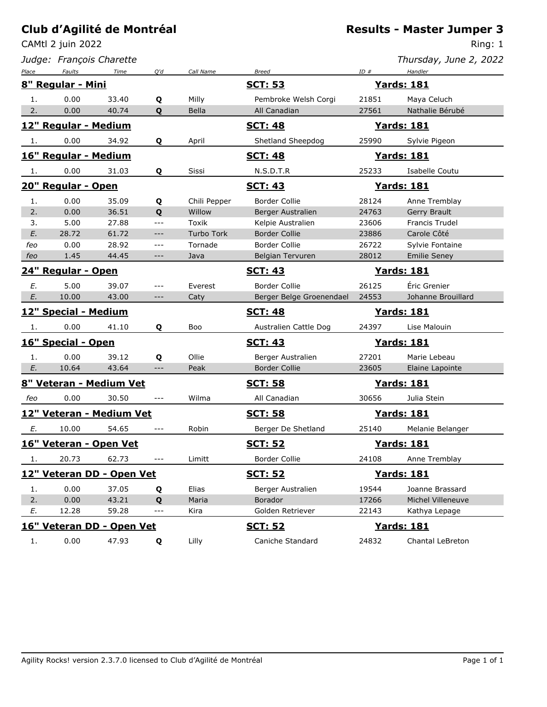CAMtl 2 juin 2022

*Judge: François Charette*

#### **Results - Master Jumper 3**

Ring: 1

*Thursday, June 2, 2022*

| Place                | <b>Faults</b>             | Time  | Q'd   | Call Name         | <b>Breed</b>             | ID#   | Handler             |
|----------------------|---------------------------|-------|-------|-------------------|--------------------------|-------|---------------------|
|                      | 8" Regular - Mini         |       |       |                   | <u>SCT: 53</u>           |       | <b>Yards: 181</b>   |
| 1.                   | 0.00                      | 33.40 | Q     | Milly             | Pembroke Welsh Corgi     | 21851 | Maya Celuch         |
| 2.                   | 0.00                      | 40.74 | Q     | <b>Bella</b>      | All Canadian             | 27561 | Nathalie Bérubé     |
|                      | 12" Regular - Medium      |       |       |                   | <u>SCT: 48</u>           |       | <b>Yards: 181</b>   |
| 1.                   | 0.00                      | 34.92 | Q     | April             | Shetland Sheepdog        | 25990 | Sylvie Pigeon       |
|                      | 16" Regular - Medium      |       |       |                   | <u>SCT: 48</u>           |       | <b>Yards: 181</b>   |
| -1.                  | 0.00                      | 31.03 | Q     | Sissi             | N.S.D.T.R                | 25233 | Isabelle Coutu      |
|                      | 20" Regular - Open        |       |       |                   | <u>SCT: 43</u>           |       | <u>Yards: 181</u>   |
| 1.                   | 0.00                      | 35.09 | Q     | Chili Pepper      | <b>Border Collie</b>     | 28124 | Anne Tremblay       |
| 2.                   | 0.00                      | 36.51 | Q     | Willow            | Berger Australien        | 24763 | Gerry Brault        |
| 3.                   | 5.00                      | 27.88 | $ -$  | Toxik             | Kelpie Australien        | 23606 | Francis Trudel      |
| E.                   | 28.72                     | 61.72 | $---$ | <b>Turbo Tork</b> | <b>Border Collie</b>     | 23886 | Carole Côté         |
| feo                  | 0.00                      | 28.92 | $---$ | Tornade           | <b>Border Collie</b>     | 26722 | Sylvie Fontaine     |
| feo                  | 1.45                      | 44.45 | $---$ | Java              | Belgian Tervuren         | 28012 | <b>Emilie Seney</b> |
| 24" Regular - Open   |                           |       |       | <u>SCT: 43</u>    | <u>Yards: 181</u>        |       |                     |
| Е.                   | 5.00                      | 39.07 | $---$ | Everest           | Border Collie            | 26125 | Éric Grenier        |
| E.                   | 10.00                     | 43.00 | $---$ | Caty              | Berger Belge Groenendael | 24553 | Johanne Brouillard  |
| 12" Special - Medium |                           |       |       |                   | <u> Yards: 181</u>       |       |                     |
|                      |                           |       |       |                   | <u>SCT: 48</u>           |       |                     |
| 1.                   | 0.00                      | 41.10 | Q     | Boo               | Australien Cattle Dog    | 24397 | Lise Malouin        |
|                      | 16" Special - Open        |       |       |                   | <u>SCT: 43</u>           |       | <u> Yards: 181</u>  |
| 1.                   | 0.00                      | 39.12 | Q     | Ollie             | Berger Australien        | 27201 | Marie Lebeau        |
| E.                   | 10.64                     | 43.64 | $---$ | Peak              | <b>Border Collie</b>     | 23605 | Elaine Lapointe     |
|                      | 8" Veteran - Medium Vet   |       |       |                   | <u>SCT: 58</u>           |       | <u>Yards: 181</u>   |
| feo                  | 0.00                      | 30.50 | $---$ | Wilma             | All Canadian             | 30656 | Julia Stein         |
|                      | 12" Veteran - Medium Vet  |       |       |                   | <u>SCT: 58</u>           |       | <b>Yards: 181</b>   |
| Е.                   | 10.00                     | 54.65 | $---$ | Robin             | Berger De Shetland       | 25140 | Melanie Belanger    |
|                      | 16" Veteran - Open Vet    |       |       |                   | <b>SCT: 52</b>           |       | <b>Yards: 181</b>   |
| 1.                   | 20.73                     | 62.73 |       | Limitt            | Border Collie            | 24108 | Anne Tremblay       |
|                      | 12" Veteran DD - Open Vet |       |       |                   | <u>SCT: 52</u>           |       | <b>Yards: 181</b>   |
| 1.                   | 0.00                      | 37.05 | Q     | Elias             | Berger Australien        | 19544 | Joanne Brassard     |
| 2.                   | 0.00                      | 43.21 | Q     | Maria             | <b>Borador</b>           | 17266 | Michel Villeneuve   |
| E.                   | 12.28                     | 59.28 | $---$ | Kira              | Golden Retriever         | 22143 | Kathya Lepage       |
|                      | 16" Veteran DD - Open Vet |       |       |                   | <u>SCT: 52</u>           |       | <b>Yards: 181</b>   |